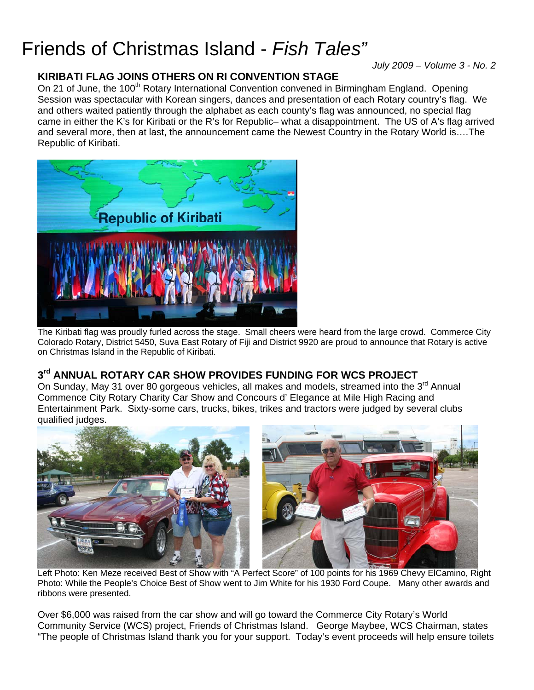# Friends of Christmas Island - *Fish Tales"*

*July 2009 – Volume 3 - No. 2* 

## **KIRIBATI FLAG JOINS OTHERS ON RI CONVENTION STAGE**

On 21 of June, the 100<sup>th</sup> Rotary International Convention convened in Birmingham England. Opening Session was spectacular with Korean singers, dances and presentation of each Rotary country's flag. We and others waited patiently through the alphabet as each county's flag was announced, no special flag came in either the K's for Kiribati or the R's for Republic– what a disappointment. The US of A's flag arrived and several more, then at last, the announcement came the Newest Country in the Rotary World is….The Republic of Kiribati.



The Kiribati flag was proudly furled across the stage. Small cheers were heard from the large crowd. Commerce City Colorado Rotary, District 5450, Suva East Rotary of Fiji and District 9920 are proud to announce that Rotary is active on Christmas Island in the Republic of Kiribati.

# **3rd ANNUAL ROTARY CAR SHOW PROVIDES FUNDING FOR WCS PROJECT**

On Sunday, May 31 over 80 gorgeous vehicles, all makes and models, streamed into the 3<sup>rd</sup> Annual Commence City Rotary Charity Car Show and Concours d' Elegance at Mile High Racing and Entertainment Park. Sixty-some cars, trucks, bikes, trikes and tractors were judged by several clubs qualified judges.



 Left Photo: Ken Meze received Best of Show with "A Perfect Score" of 100 points for his 1969 Chevy ElCamino, Right Photo: While the People's Choice Best of Show went to Jim White for his 1930 Ford Coupe. Many other awards and ribbons were presented.

Over \$6,000 was raised from the car show and will go toward the Commerce City Rotary's World Community Service (WCS) project, Friends of Christmas Island. George Maybee, WCS Chairman, states "The people of Christmas Island thank you for your support. Today's event proceeds will help ensure toilets